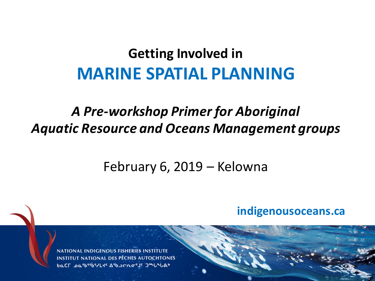#### **Getting Involved in MARINE SPATIAL PLANNING**

#### *A Pre-workshop Primer for Aboriginal Aquatic Resource and Oceans Management groups*

#### February 6, 2019 - Kelowna

#### **indigenousoceans.ca**

indigenous de la propriété de la propriété de la propriété de la propriété de la propriété de la propriété de <br>La propriété de la propriété de la propriété de la propriété de la propriété de la propriété de la propriété d

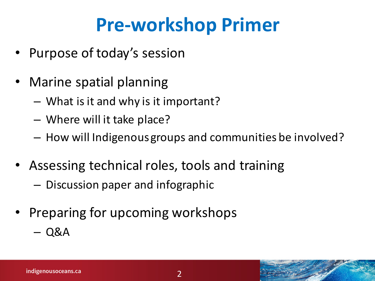## **Pre-workshop Primer**

- Purpose of today's session
- Marine spatial planning
	- What is it and why is it important?
	- Where will it take place?
	- $-$  How will Indigenous groups and communities be involved?
- Assessing technical roles, tools and training
	- $-$  Discussion paper and infographic
- Preparing for upcoming workshops
	- Q&A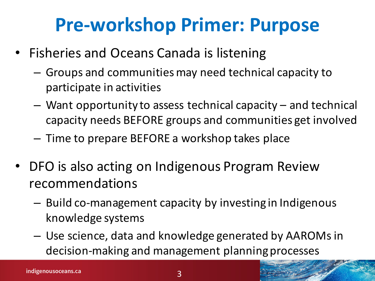## **Pre-workshop Primer: Purpose**

- Fisheries and Oceans Canada is listening
	- $-$  Groups and communities may need technical capacity to participate in activities
	- $-$  Want opportunity to assess technical capacity  $-$  and technical capacity needs BEFORE groups and communities get involved
	- $-$  Time to prepare BEFORE a workshop takes place
- DFO is also acting on Indigenous Program Review recommendations
	- Build co-management capacity by investing in Indigenous knowledge systems
	- $-$  Use science, data and knowledge generated by AAROMs in decision-making and management planning processes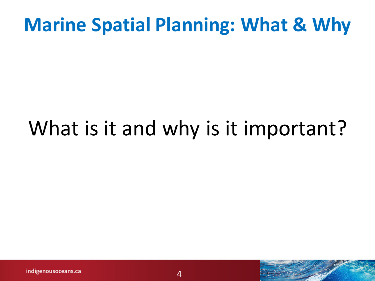### **Marine Spatial Planning: What & Why**

## What is it and why is it important?

indigenousoceans.ca

 $\boldsymbol{\varDelta}$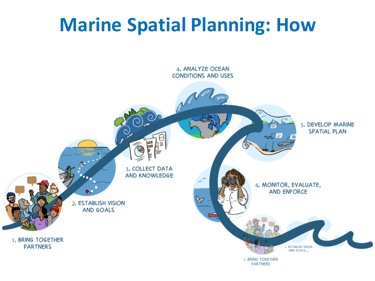### **Marine Spatial Planning: How**

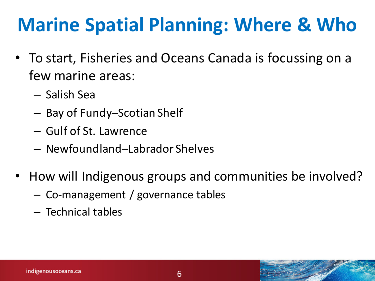## **Marine Spatial Planning: Where & Who**

- To start, Fisheries and Oceans Canada is focussing on a few marine areas:
	- Salish Sea
	- Bay of Fundy–Scotian Shelf
	- Gulf of St. Lawrence
	- Newfoundland–Labrador Shelves
- How will Indigenous groups and communities be involved?
	- Co-management / governance tables
	- Technical tables

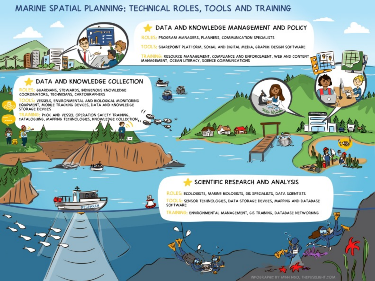#### MARINE SPATIAL PLANNING: TECHNICAL ROLES, TOOLS AND TRAINING



#### DATA AND KNOWLEDGE MANAGEMENT AND POLICY

ROLES: PROGRAM MANAGERS, PLANNERS, COMMUNICATION SPECIALISTS

TOOLS: SHAREPOINT PLATFORM, SOCIAL AND DIGITAL MEDIA, GRAPHIC DESIGN SOFTWARE

RESOURCE MANAGEMENT, COMPLIANCE AND ENFORCEMENT, WEB AND CONTENT **TRAINI!** MANAGEMENT, OCEAN LITERACY, SCIENCE COMMUNICATIONS

#### DATA AND KNOWLEDGE COLLECTION

RESEARCH

ROLES: GUARDIANS, STEWARDS, INDIGENOUS KNOWLEDGE COORDINATORS, TECHNICIANS, CARTOGRAPHERS

TOOLS: VESSELS, ENVIRONMENTAL AND BIOLOGICAL MONITORING EQUIPMENT, MOBILE TRACKING DEVICES, DATA AND KNOWLEDGE **STORAGE DEVICES**  $\epsilon$ 

PCOC AND VESSEL OPERATION SAFETY TRAINING, CATALOGUING, MAPPING TECHNOLOGIES, KNOWLEDGE COLLECTION,

#### SCIENTIFIC RESEARCH AND ANALYSIS

ROLES: ECOLOGISTS, MARINE BIOLOGISTS, GIS SPECIALISTS, DATA SCIENTISTS TOOLS: SENSOR TECHNOLOGIES, DATA STORAGE DEVICES, MAPPING AND DATABASE SOFTWARE

TRAINING: ENVIRONMENTAL MANAGEMENT, GIS TRAINING, DATABASE NETWORKING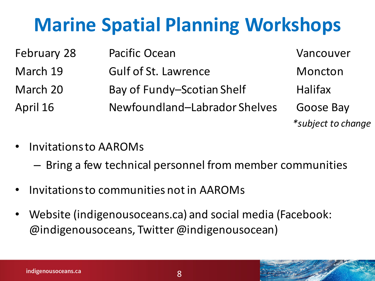## **Marine Spatial Planning Workshops**

| February 28 | <b>Pacific Ocean</b>          | Vancouver          |
|-------------|-------------------------------|--------------------|
| March 19    | <b>Gulf of St. Lawrence</b>   | Moncton            |
| March 20    | Bay of Fundy-Scotian Shelf    | <b>Halifax</b>     |
| April 16    | Newfoundland-Labrador Shelves | Goose Bay          |
|             |                               | *subject to change |

- Invitations to AAROMs
	- $-$  Bring a few technical personnel from member communities
- Invitations to communities not in AAROMs
- Website (indigenousoceans.ca) and social media (Facebook: @indigenousoceans, Twitter @indigenousocean)